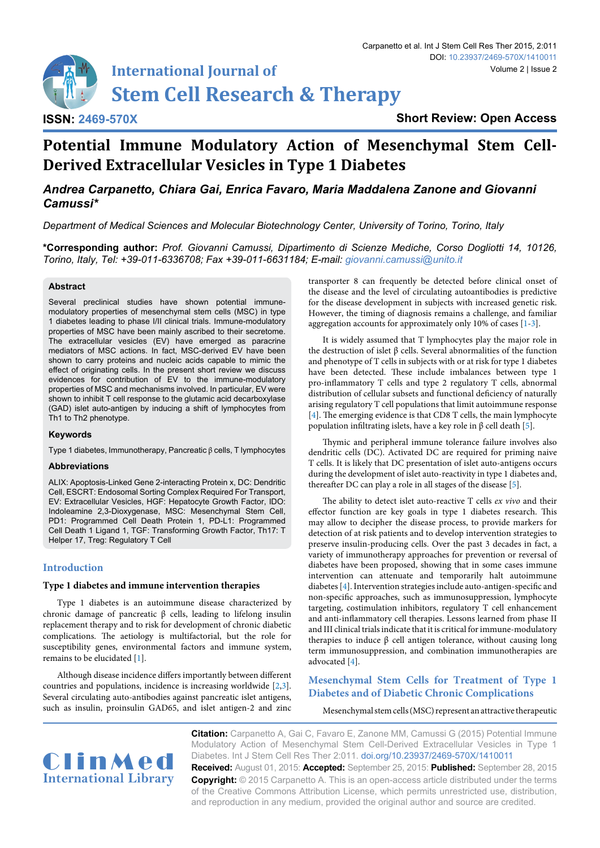

**Short Review: Open Access**

# **Potential Immune Modulatory Action of Mesenchymal Stem Cell-Derived Extracellular Vesicles in Type 1 Diabetes**

## *Andrea Carpanetto, Chiara Gai, Enrica Favaro, Maria Maddalena Zanone and Giovanni Camussi\**

*Department of Medical Sciences and Molecular Biotechnology Center, University of Torino, Torino, Italy*

**\*Corresponding author:** *Prof. Giovanni Camussi, Dipartimento di Scienze Mediche, Corso Dogliotti 14, 10126, Torino, Italy, Tel: +39-011-6336708; Fax +39-011-6631184; E-mail: giovanni.camussi@unito.it*

### **Abstract**

Several preclinical studies have shown potential immunemodulatory properties of mesenchymal stem cells (MSC) in type 1 diabetes leading to phase I/II clinical trials. Immune-modulatory properties of MSC have been mainly ascribed to their secretome. The extracellular vesicles (EV) have emerged as paracrine mediators of MSC actions. In fact, MSC-derived EV have been shown to carry proteins and nucleic acids capable to mimic the effect of originating cells. In the present short review we discuss evidences for contribution of EV to the immune-modulatory properties of MSC and mechanisms involved. In particular, EV were shown to inhibit T cell response to the glutamic acid decarboxylase (GAD) islet auto-antigen by inducing a shift of lymphocytes from Th1 to Th2 phenotype.

#### **Keywords**

Type 1 diabetes, Immunotherapy, Pancreatic β cells, T lymphocytes

### **Abbreviations**

ALIX: Apoptosis-Linked Gene 2-interacting Protein x, DC: Dendritic Cell, ESCRT: Endosomal Sorting Complex Required For Transport, EV: Extracellular Vesicles, HGF: Hepatocyte Growth Factor, IDO: Indoleamine 2,3-Dioxygenase, MSC: Mesenchymal Stem Cell, PD1: Programmed Cell Death Protein 1, PD-L1: Programmed Cell Death 1 Ligand 1, TGF: Transforming Growth Factor, Th17: T Helper 17, Treg: Regulatory T Cell

### **Introduction**

#### **Type 1 diabetes and immune intervention therapies**

Type 1 diabetes is an autoimmune disease characterized by chronic damage of pancreatic β cells, leading to lifelong insulin replacement therapy and to risk for development of chronic diabetic complications. The aetiology is multifactorial, but the role for susceptibility genes, environmental factors and immune system, remains to be elucidated [[1](#page-3-0)].

Although disease incidence differs importantly between different countries and populations, incidence is increasing worldwide [\[2,](#page-3-1)[3\]](#page-3-2). Several circulating auto-antibodies against pancreatic islet antigens, such as insulin, proinsulin GAD65, and islet antigen-2 and zinc transporter 8 can frequently be detected before clinical onset of the disease and the level of circulating autoantibodies is predictive for the disease development in subjects with increased genetic risk. However, the timing of diagnosis remains a challenge, and familiar aggregation accounts for approximately only 10% of cases [[1-](#page-3-0)[3](#page-3-2)].

It is widely assumed that T lymphocytes play the major role in the destruction of islet β cells. Several abnormalities of the function and phenotype of T cells in subjects with or at risk for type 1 diabetes have been detected. These include imbalances between type 1 pro-inflammatory T cells and type 2 regulatory T cells, abnormal distribution of cellular subsets and functional deficiency of naturally arising regulatory T cell populations that limit autoimmune response [\[4\]](#page-3-3). The emerging evidence is that CD8 T cells, the main lymphocyte population infiltrating islets, have a key role in β cell death [\[5\]](#page-3-4).

Thymic and peripheral immune tolerance failure involves also dendritic cells (DC). Activated DC are required for priming naive T cells. It is likely that DC presentation of islet auto-antigens occurs during the development of islet auto-reactivity in type 1 diabetes and, thereafter DC can play a role in all stages of the disease [\[5](#page-3-4)].

The ability to detect islet auto-reactive T cells *ex vivo* and their effector function are key goals in type 1 diabetes research. This may allow to decipher the disease process, to provide markers for detection of at risk patients and to develop intervention strategies to preserve insulin-producing cells. Over the past 3 decades in fact, a variety of immunotherapy approaches for prevention or reversal of diabetes have been proposed, showing that in some cases immune intervention can attenuate and temporarily halt autoimmune diabetes [\[4](#page-3-3)]. Intervention strategies include auto-antigen-specific and non-specific approaches, such as immunosuppression, lymphocyte targeting, costimulation inhibitors, regulatory T cell enhancement and anti-inflammatory cell therapies. Lessons learned from phase II and III clinical trials indicate that it is critical for immune-modulatory therapies to induce β cell antigen tolerance, without causing long term immunosuppression, and combination immunotherapies are advocated [[4](#page-3-3)].

### **Mesenchymal Stem Cells for Treatment of Type 1 Diabetes and of Diabetic Chronic Complications**

Mesenchymal stem cells (MSC) represent an attractive therapeutic

ClinMed **International Library** **Citation:** Carpanetto A, Gai C, Favaro E, Zanone MM, Camussi G (2015) Potential Immune Modulatory Action of Mesenchymal Stem Cell-Derived Extracellular Vesicles in Type 1 Diabetes. Int J Stem Cell Res Ther 2:011. [doi.org/10.23937/2469-570X/1410011](https://doi.org/10.23937/2469-570X/1410011)

**Received:** August 01, 2015: **Accepted:** September 25, 2015: **Published:** September 28, 2015 **Copyright:** © 2015 Carpanetto A. This is an open-access article distributed under the terms of the Creative Commons Attribution License, which permits unrestricted use, distribution, and reproduction in any medium, provided the original author and source are credited.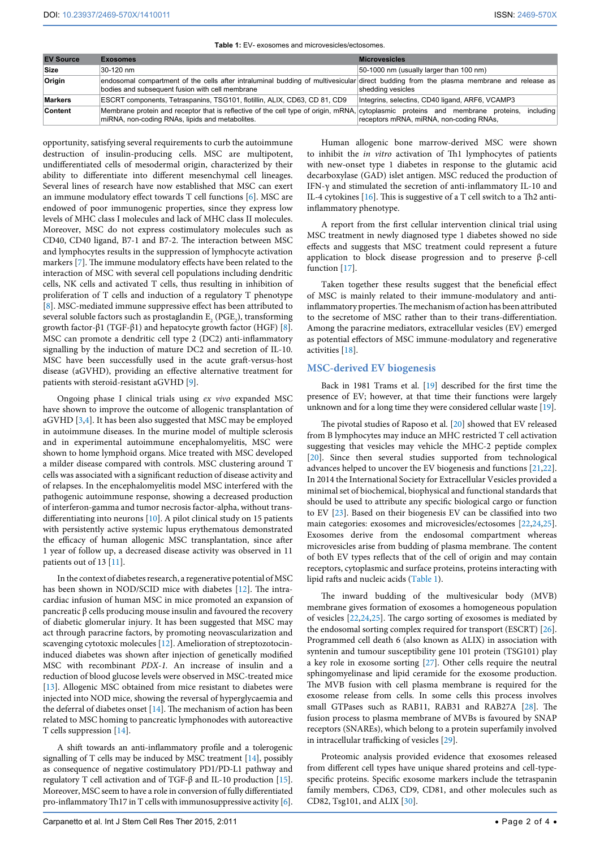<span id="page-1-0"></span>**Table 1:** EV- exosomes and microvesicles/ectosomes.

| <b>EV Source</b> | <b>Exosomes</b>                                                                                                                                                                           | <b>Microvesicles</b>                                 |
|------------------|-------------------------------------------------------------------------------------------------------------------------------------------------------------------------------------------|------------------------------------------------------|
| Size             | 30-120 nm                                                                                                                                                                                 | 50-1000 nm (usually larger than 100 nm)              |
| Origin           | endosomal compartment of the cells after intraluminal budding of multivesicular direct budding from the plasma membrane and release as<br>bodies and subsequent fusion with cell membrane | shedding vesicles                                    |
| <b>Markers</b>   | ESCRT components, Tetraspanins, TSG101, flotillin, ALIX, CD63, CD 81, CD9                                                                                                                 | Integrins, selectins, CD40 ligand, ARF6, VCAMP3      |
| <b>Content</b>   | Membrane protein and receptor that is reflective of the cell type of origin, mRNA, cytoplasmic proteins and membrane proteins,<br>miRNA, non-coding RNAs, lipids and metabolites.         | includina<br>receptors mRNA, miRNA, non-coding RNAs, |

opportunity, satisfying several requirements to curb the autoimmune destruction of insulin-producing cells. MSC are multipotent, undifferentiated cells of mesodermal origin, characterized by their ability to differentiate into different mesenchymal cell lineages. Several lines of research have now established that MSC can exert an immune modulatory effect towards T cell functions [[6](#page-3-5)]. MSC are endowed of poor immunogenic properties, since they express low levels of MHC class I molecules and lack of MHC class II molecules. Moreover, MSC do not express costimulatory molecules such as CD40, CD40 ligand, B7-1 and B7-2. The interaction between MSC and lymphocytes results in the suppression of lymphocyte activation markers [\[7](#page-3-6)]. The immune modulatory effects have been related to the interaction of MSC with several cell populations including dendritic cells, NK cells and activated T cells, thus resulting in inhibition of proliferation of T cells and induction of a regulatory T phenotype [[8\]](#page-3-7). MSC-mediated immune suppressive effect has been attributed to several soluble factors such as prostaglandin  $\text{E}_{\text{2}}$  (PGE<sub>2</sub>), transforming growth factor-β1 (TGF-β1) and hepatocyte growth factor (HGF) [\[8](#page-3-7)]. MSC can promote a dendritic cell type 2 (DC2) anti-inflammatory signalling by the induction of mature DC2 and secretion of IL-10. MSC have been successfully used in the acute graft-versus-host disease (aGVHD), providing an effective alternative treatment for patients with steroid-resistant aGVHD [\[9\]](#page-3-8).

Ongoing phase I clinical trials using *ex vivo* expanded MSC have shown to improve the outcome of allogenic transplantation of aGVHD [[3](#page-3-2)[,4\]](#page-3-3). It has been also suggested that MSC may be employed in autoimmune diseases. In the murine model of multiple sclerosis and in experimental autoimmune encephalomyelitis, MSC were shown to home lymphoid organs. Mice treated with MSC developed a milder disease compared with controls. MSC clustering around T cells was associated with a significant reduction of disease activity and of relapses. In the encephalomyelitis model MSC interfered with the pathogenic autoimmune response, showing a decreased production of interferon-gamma and tumor necrosis factor-alpha, without transdifferentiating into neurons [\[10](#page-3-9)]. A pilot clinical study on 15 patients with persistently active systemic lupus erythematous demonstrated the efficacy of human allogenic MSC transplantation, since after 1 year of follow up, a decreased disease activity was observed in 11 patients out of 13 [\[11](#page-3-10)].

In the context of diabetes research, a regenerative potential of MSC has been shown in NOD/SCID mice with diabetes [[12](#page-3-11)]. The intracardiac infusion of human MSC in mice promoted an expansion of pancreatic β cells producing mouse insulin and favoured the recovery of diabetic glomerular injury. It has been suggested that MSC may act through paracrine factors, by promoting neovascularization and scavenging cytotoxic molecules [\[12\]](#page-3-11). Amelioration of streptozotocininduced diabetes was shown after injection of genetically modified MSC with recombinant *PDX-1.* An increase of insulin and a reduction of blood glucose levels were observed in MSC-treated mice [[13](#page-3-12)]. Allogenic MSC obtained from mice resistant to diabetes were injected into NOD mice, showing the reversal of hyperglycaemia and the deferral of diabetes onset [[14](#page-3-13)]. The mechanism of action has been related to MSC homing to pancreatic lymphonodes with autoreactive T cells suppression [\[14\]](#page-3-13).

A shift towards an anti-inflammatory profile and a tolerogenic signalling of T cells may be induced by MSC treatment [[14](#page-3-13)], possibly as consequence of negative costimulatory PD1/PD-L1 pathway and regulatory T cell activation and of TGF-β and IL-10 production [\[15](#page-3-14)]. Moreover, MSC seem to have a role in conversion of fully differentiated pro-inflammatory Th17 in T cells with immunosuppressive activity [\[6](#page-3-5)].

Human allogenic bone marrow-derived MSC were shown to inhibit the *in vitro* activation of Th1 lymphocytes of patients with new-onset type 1 diabetes in response to the glutamic acid decarboxylase (GAD) islet antigen. MSC reduced the production of IFN-γ and stimulated the secretion of anti-inflammatory IL-10 and IL-4 cytokines [[16](#page-3-15)]. This is suggestive of a T cell switch to a Th2 antiinflammatory phenotype.

A report from the first cellular intervention clinical trial using MSC treatment in newly diagnosed type 1 diabetes showed no side effects and suggests that MSC treatment could represent a future application to block disease progression and to preserve β-cell function [[17](#page-3-16)].

Taken together these results suggest that the beneficial effect of MSC is mainly related to their immune-modulatory and antiinflammatory properties. The mechanism of action has been attributed to the secretome of MSC rather than to their trans-differentiation. Among the paracrine mediators, extracellular vesicles (EV) emerged as potential effectors of MSC immune-modulatory and regenerative activities [[18](#page-3-17)].

### **MSC-derived EV biogenesis**

Back in 1981 Trams et al. [[19](#page-3-18)] described for the first time the presence of EV; however, at that time their functions were largely unknown and for a long time they were considered cellular waste [\[19\]](#page-3-18).

The pivotal studies of Raposo et al. [[20\]](#page-3-19) showed that EV released from B lymphocytes may induce an MHC restricted T cell activation suggesting that vesicles may vehicle the MHC-2 peptide complex [[20](#page-3-19)]. Since then several studies supported from technological advances helped to uncover the EV biogenesis and functions [\[21,](#page-3-20)[22\]](#page-3-21). In 2014 the International Society for Extracellular Vesicles provided a minimal set of biochemical, biophysical and functional standards that should be used to attribute any specific biological cargo or function to EV [\[23\]](#page-3-22). Based on their biogenesis EV can be classified into two main categories: exosomes and microvesicles/ectosomes [[22](#page-3-21)[,24,](#page-3-23)[25\]](#page-3-24). Exosomes derive from the endosomal compartment whereas microvesicles arise from budding of plasma membrane. The content of both EV types reflects that of the cell of origin and may contain receptors, cytoplasmic and surface proteins, proteins interacting with lipid rafts and nucleic acids [\(Table 1\)](#page-1-0).

The inward budding of the multivesicular body (MVB) membrane gives formation of exosomes a homogeneous population of vesicles [\[22,](#page-3-21)[24,](#page-3-23)[25](#page-3-24)]. The cargo sorting of exosomes is mediated by the endosomal sorting complex required for transport (ESCRT) [[26\]](#page-3-25). Programmed cell death 6 (also known as ALIX) in association with syntenin and tumour susceptibility gene 101 protein (TSG101) play a key role in exosome sorting [\[27](#page-3-26)]. Other cells require the neutral sphingomyelinase and lipid ceramide for the exosome production. The MVB fusion with cell plasma membrane is required for the exosome release from cells. In some cells this process involves small GTPases such as RAB11, RAB31 and RAB27A [[28](#page-3-27)]. The fusion process to plasma membrane of MVBs is favoured by SNAP receptors (SNAREs), which belong to a protein superfamily involved in intracellular trafficking of vesicles [\[29](#page-3-28)].

Proteomic analysis provided evidence that exosomes released from different cell types have unique shared proteins and cell-typespecific proteins. Specific exosome markers include the tetraspanin family members, CD63, CD9, CD81, and other molecules such as CD82, Tsg101, and ALIX [\[30\]](#page-3-29).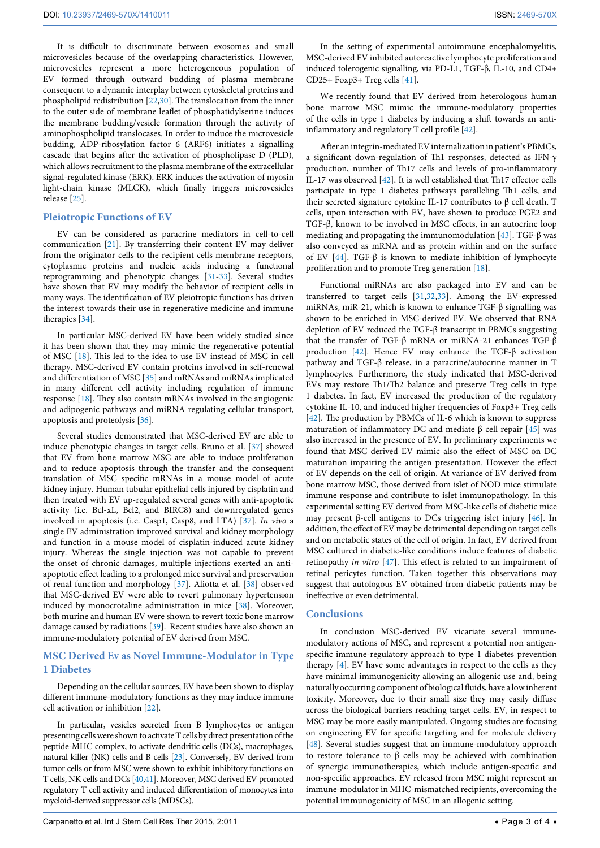It is difficult to discriminate between exosomes and small microvesicles because of the overlapping characteristics. However, microvesicles represent a more heterogeneous population of EV formed through outward budding of plasma membrane consequent to a dynamic interplay between cytoskeletal proteins and phospholipid redistribution [[22](#page-3-21)[,30](#page-3-29)]. The translocation from the inner to the outer side of membrane leaflet of phosphatidylserine induces the membrane budding/vesicle formation through the activity of aminophospholipid translocases. In order to induce the microvesicle budding, ADP-ribosylation factor 6 (ARF6) initiates a signalling cascade that begins after the activation of phospholipase D (PLD), which allows recruitment to the plasma membrane of the extracellular signal-regulated kinase (ERK). ERK induces the activation of myosin light-chain kinase (MLCK), which finally triggers microvesicles release [\[25\]](#page-3-24).

### **Pleiotropic Functions of EV**

EV can be considered as paracrine mediators in cell-to-cell communication [[21](#page-3-20)]. By transferring their content EV may deliver from the originator cells to the recipient cells membrane receptors, cytoplasmic proteins and nucleic acids inducing a functional reprogramming and phenotypic changes [[31](#page-3-30)[-33](#page-3-31)]. Several studies have shown that EV may modify the behavior of recipient cells in many ways. The identification of EV pleiotropic functions has driven the interest towards their use in regenerative medicine and immune therapies [[34](#page-3-32)].

In particular MSC-derived EV have been widely studied since it has been shown that they may mimic the regenerative potential of MSC [\[18\]](#page-3-17). This led to the idea to use EV instead of MSC in cell therapy. MSC-derived EV contain proteins involved in self-renewal and differentiation of MSC [\[35\]](#page-3-33) and mRNAs and miRNAs implicated in many different cell activity including regulation of immune response [\[18\]](#page-3-17). They also contain mRNAs involved in the angiogenic and adipogenic pathways and miRNA regulating cellular transport, apoptosis and proteolysis [[36\]](#page-3-34).

Several studies demonstrated that MSC-derived EV are able to induce phenotypic changes in target cells. Bruno et al. [[37](#page-3-35)] showed that EV from bone marrow MSC are able to induce proliferation and to reduce apoptosis through the transfer and the consequent translation of MSC specific mRNAs in a mouse model of acute kidney injury. Human tubular epithelial cells injured by cisplatin and then treated with EV up-regulated several genes with anti-apoptotic activity (i.e. Bcl-xL, Bcl2, and BIRC8) and downregulated genes involved in apoptosis (i.e. Casp1, Casp8, and LTA) [\[37\]](#page-3-35). *In vivo* a single EV administration improved survival and kidney morphology and function in a mouse model of cisplatin-induced acute kidney injury. Whereas the single injection was not capable to prevent the onset of chronic damages, multiple injections exerted an antiapoptotic effect leading to a prolonged mice survival and preservation of renal function and morphology [[37](#page-3-35)]. Aliotta et al. [\[38](#page-3-36)] observed that MSC-derived EV were able to revert pulmonary hypertension induced by monocrotaline administration in mice [[38](#page-3-36)]. Moreover, both murine and human EV were shown to revert toxic bone marrow damage caused by radiations [[39\]](#page-3-37). Recent studies have also shown an immune-modulatory potential of EV derived from MSC.

### **MSC Derived Ev as Novel Immune-Modulator in Type 1 Diabetes**

Depending on the cellular sources, EV have been shown to display different immune-modulatory functions as they may induce immune cell activation or inhibition [[22](#page-3-21)].

In particular, vesicles secreted from B lymphocytes or antigen presenting cells were shown to activate T cells by direct presentation of the peptide-MHC complex, to activate dendritic cells (DCs), macrophages, natural killer (NK) cells and B cells [[23\]](#page-3-22). Conversely, EV derived from tumor cells or from MSC were shown to exhibit inhibitory functions on T cells, NK cells and DCs [[40](#page-3-38)[,41](#page-3-39)]. Moreover, MSC derived EV promoted regulatory T cell activity and induced differentiation of monocytes into myeloid-derived suppressor cells (MDSCs).

In the setting of experimental autoimmune encephalomyelitis, MSC-derived EV inhibited autoreactive lymphocyte proliferation and induced tolerogenic signalling, via PD-L1, TGF-β, IL-10, and CD4+ CD25+ Foxp3+ Treg cells [[41](#page-3-39)].

We recently found that EV derived from heterologous human bone marrow MSC mimic the immune-modulatory properties of the cells in type 1 diabetes by inducing a shift towards an antiinflammatory and regulatory T cell profile [[42](#page-3-40)].

After an integrin-mediated EV internalization in patient's PBMCs, a significant down-regulation of Th1 responses, detected as IFN-γ production, number of Th17 cells and levels of pro-inflammatory IL-17 was observed [\[42\]](#page-3-40). It is well established that Th17 effector cells participate in type 1 diabetes pathways paralleling Th1 cells, and their secreted signature cytokine IL-17 contributes to β cell death. T cells, upon interaction with EV, have shown to produce PGE2 and TGF-β, known to be involved in MSC effects, in an autocrine loop mediating and propagating the immunomodulation [[43](#page-3-41)]. TGF- $\beta$  was also conveyed as mRNA and as protein within and on the surface of EV [[44](#page-3-42)]. TGF-β is known to mediate inhibition of lymphocyte proliferation and to promote Treg generation [[18](#page-3-17)].

Functional miRNAs are also packaged into EV and can be transferred to target cells [[31](#page-3-30)[,32,](#page-3-43)[33\]](#page-3-31). Among the EV-expressed miRNAs, miR-21, which is known to enhance TGF-β signalling was shown to be enriched in MSC-derived EV. We observed that RNA depletion of EV reduced the TGF-β transcript in PBMCs suggesting that the transfer of TGF-β mRNA or miRNA-21 enhances TGF-β production [\[42](#page-3-40)]. Hence EV may enhance the TGF-β activation pathway and TGF-β release, in a paracrine/autocrine manner in T lymphocytes. Furthermore, the study indicated that MSC-derived EVs may restore Th1/Th2 balance and preserve Treg cells in type 1 diabetes. In fact, EV increased the production of the regulatory cytokine IL-10, and induced higher frequencies of Foxp3+ Treg cells [[42](#page-3-40)]. The production by PBMCs of IL-6 which is known to suppress maturation of inflammatory DC and mediate β cell repair  $[45]$  $[45]$  $[45]$  was also increased in the presence of EV. In preliminary experiments we found that MSC derived EV mimic also the effect of MSC on DC maturation impairing the antigen presentation. However the effect of EV depends on the cell of origin. At variance of EV derived from bone marrow MSC, those derived from islet of NOD mice stimulate immune response and contribute to islet immunopathology. In this experimental setting EV derived from MSC-like cells of diabetic mice may present β-cell antigens to DCs triggering islet injury [\[46\]](#page-3-45). In addition, the effect of EV may be detrimental depending on target cells and on metabolic states of the cell of origin. In fact, EV derived from MSC cultured in diabetic-like conditions induce features of diabetic retinopathy *in vitro* [\[47\]](#page-3-46). This effect is related to an impairment of retinal pericytes function. Taken together this observations may suggest that autologous EV obtained from diabetic patients may be ineffective or even detrimental.

### **Conclusions**

In conclusion MSC-derived EV vicariate several immunemodulatory actions of MSC, and represent a potential non antigenspecific immune-regulatory approach to type 1 diabetes prevention therapy [[4](#page-3-3)]. EV have some advantages in respect to the cells as they have minimal immunogenicity allowing an allogenic use and, being naturally occurring component of biological fluids, have a low inherent toxicity. Moreover, due to their small size they may easily diffuse across the biological barriers reaching target cells. EV, in respect to MSC may be more easily manipulated. Ongoing studies are focusing on engineering EV for specific targeting and for molecule delivery [[48](#page-3-47)]. Several studies suggest that an immune-modulatory approach to restore tolerance to β cells may be achieved with combination of synergic immunotherapies, which include antigen-specific and non-specific approaches. EV released from MSC might represent an immune-modulator in MHC-mismatched recipients, overcoming the potential immunogenicity of MSC in an allogenic setting.